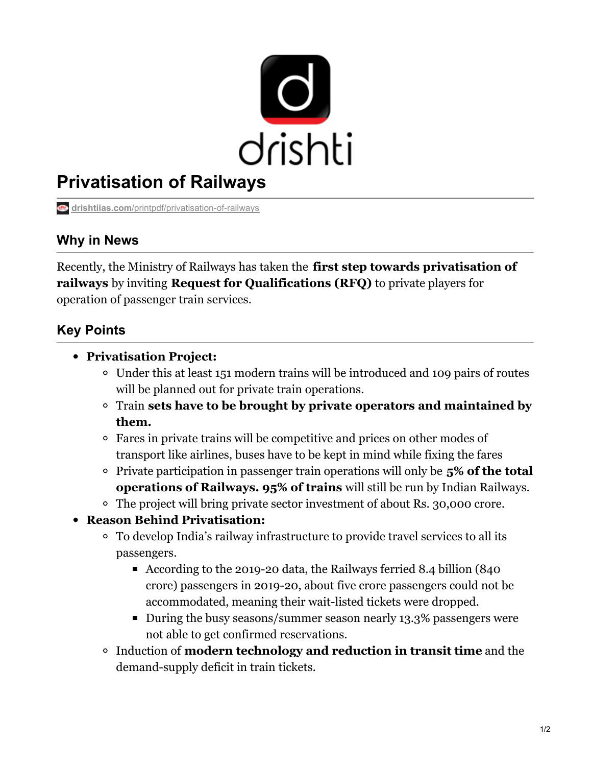

# **Privatisation of Railways**

**drishtiias.com**[/printpdf/privatisation-of-railways](https://www.drishtiias.com/printpdf/privatisation-of-railways)

## **Why in News**

Recently, the Ministry of Railways has taken the **first step towards privatisation of railways** by inviting **Request for Qualifications (RFQ)** to private players for operation of passenger train services.

# **Key Points**

- **Privatisation Project:**
	- Under this at least 151 modern trains will be introduced and 109 pairs of routes will be planned out for private train operations.
	- Train **sets have to be brought by private operators and maintained by them.**
	- Fares in private trains will be competitive and prices on other modes of transport like airlines, buses have to be kept in mind while fixing the fares
	- Private participation in passenger train operations will only be **5% of the total operations of Railways. 95% of trains** will still be run by Indian Railways.
	- The project will bring private sector investment of about Rs. 30,000 crore.
- **Reason Behind Privatisation:**
	- To develop India's railway infrastructure to provide travel services to all its passengers.
		- According to the 2019-20 data, the Railways ferried 8.4 billion (840 crore) passengers in 2019-20, about five crore passengers could not be accommodated, meaning their wait-listed tickets were dropped.
		- During the busy seasons/summer season nearly 13.3% passengers were not able to get confirmed reservations.
	- Induction of **modern technology and reduction in transit time** and the demand-supply deficit in train tickets.